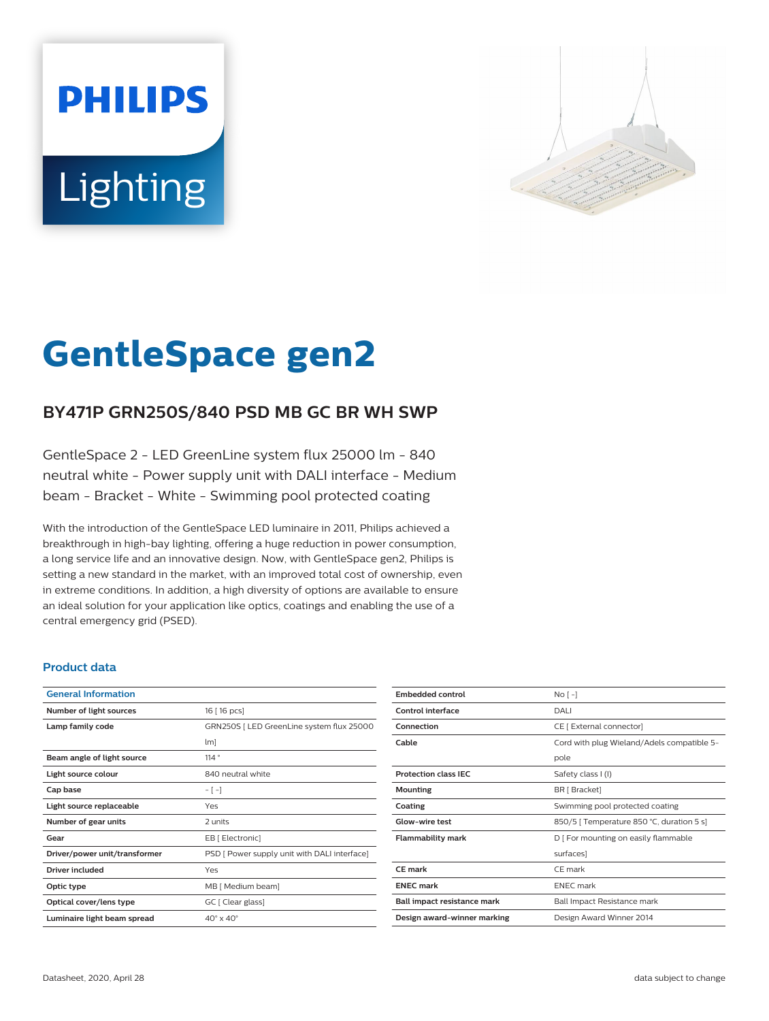# **PHILIPS** Lighting



# **GentleSpace gen2**

# **BY471P GRN250S/840 PSD MB GC BR WH SWP**

GentleSpace 2 - LED GreenLine system flux 25000 lm - 840 neutral white - Power supply unit with DALI interface - Medium beam - Bracket - White - Swimming pool protected coating

With the introduction of the GentleSpace LED luminaire in 2011, Philips achieved a breakthrough in high-bay lighting, offering a huge reduction in power consumption, a long service life and an innovative design. Now, with GentleSpace gen2, Philips is setting a new standard in the market, with an improved total cost of ownership, even in extreme conditions. In addition, a high diversity of options are available to ensure an ideal solution for your application like optics, coatings and enabling the use of a central emergency grid (PSED).

#### **Product data**

| <b>General Information</b>    |                                              |
|-------------------------------|----------------------------------------------|
| Number of light sources       | 16 [ 16 pcs]                                 |
| Lamp family code              | GRN250S   LED GreenLine system flux 25000    |
|                               | $\lfloor m \rfloor$                          |
| Beam angle of light source    | 114°                                         |
| Light source colour           | 840 neutral white                            |
| Cap base                      | $-[-]$                                       |
| Light source replaceable      | Yes                                          |
| Number of gear units          | 2 units                                      |
| Gear                          | EB [ Electronic]                             |
| Driver/power unit/transformer | PSD [ Power supply unit with DALI interface] |
| Driver included               | Yes                                          |
| Optic type                    | MB [ Medium beam]                            |
| Optical cover/lens type       | GC [ Clear glass]                            |
| Luminaire light beam spread   | $40^\circ \times 40^\circ$                   |

| <b>Embedded control</b>     | $No[-]$                                    |
|-----------------------------|--------------------------------------------|
| Control interface           | DALI                                       |
| Connection                  | CE [ External connector]                   |
| Cable                       | Cord with plug Wieland/Adels compatible 5- |
|                             | pole                                       |
| <b>Protection class IEC</b> | Safety class I (I)                         |
| Mounting                    | BR [ Bracket]                              |
| Coating                     | Swimming pool protected coating            |
| <b>Glow-wire test</b>       | 850/5   Temperature 850 °C, duration 5 s]  |
| <b>Flammability mark</b>    | D [ For mounting on easily flammable       |
|                             | surfaces]                                  |
| CF mark                     | CF mark                                    |
| <b>ENEC mark</b>            | <b>ENEC</b> mark                           |
| Ball impact resistance mark | Ball Impact Resistance mark                |
| Design award-winner marking | Design Award Winner 2014                   |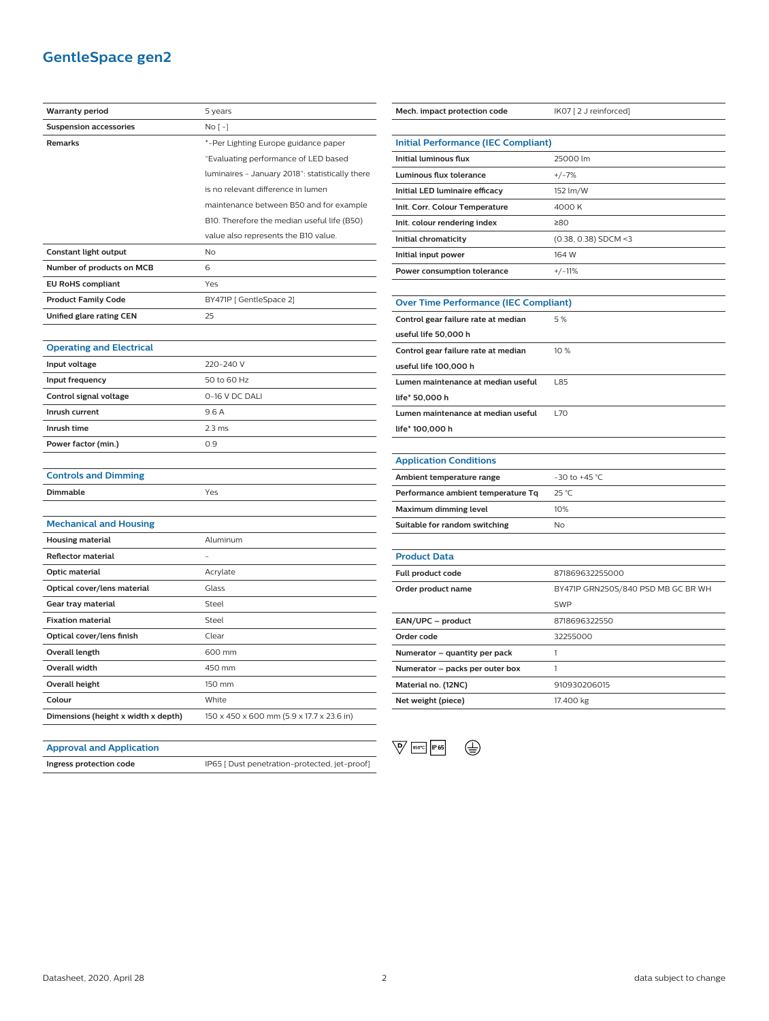## **GentleSpace gen2**

| <b>Warranty period</b>              | 5 years                                         |
|-------------------------------------|-------------------------------------------------|
| <b>Suspension accessories</b>       | $No [-]$                                        |
| <b>Remarks</b>                      | *-Per Lighting Europe guidance paper            |
|                                     | "Evaluating performance of LED based            |
|                                     | luminaires - January 2018": statistically there |
|                                     | is no relevant difference in lumen              |
|                                     | maintenance between B50 and for example         |
|                                     | B10. Therefore the median useful life (B50)     |
|                                     | value also represents the B10 value.            |
| <b>Constant light output</b>        | <b>No</b>                                       |
| Number of products on MCB           | 6                                               |
| <b>EU RoHS compliant</b>            | Yes                                             |
| <b>Product Family Code</b>          | BY471P [GentleSpace 2]                          |
| Unified glare rating CEN            | 25                                              |
|                                     |                                                 |
| <b>Operating and Electrical</b>     |                                                 |
| Input voltage                       | 220-240 V                                       |
| Input frequency                     | 50 to 60 Hz                                     |
| Control signal voltage              | 0-16 V DC DALI                                  |
| Inrush current                      | 9.6A                                            |
| Inrush time                         | 2.3 <sub>ms</sub>                               |
| Power factor (min.)                 | 0.9                                             |
|                                     |                                                 |
| <b>Controls and Dimming</b>         |                                                 |
| <b>Dimmable</b>                     | Yes                                             |
|                                     |                                                 |
| <b>Mechanical and Housing</b>       |                                                 |
| <b>Housing material</b>             | Aluminum                                        |
| <b>Reflector material</b>           |                                                 |
| Optic material                      | Acrylate                                        |
| Optical cover/lens material         | Glass                                           |
| Gear tray material                  | Steel                                           |
| <b>Fixation material</b>            | Steel                                           |
| Optical cover/lens finish           | Clear                                           |
| Overall length                      | 600 mm                                          |
| <b>Overall width</b>                | 450 mm                                          |
| <b>Overall height</b>               | 150 mm                                          |
| Colour                              | White                                           |
| Dimensions (height x width x depth) | 150 x 450 x 600 mm (5.9 x 17.7 x 23.6 in)       |
|                                     |                                                 |

| Mech. impact protection code                 | IK07 [2 J reinforced]              |  |
|----------------------------------------------|------------------------------------|--|
|                                              |                                    |  |
| <b>Initial Performance (IEC Compliant)</b>   |                                    |  |
| <b>Initial luminous flux</b>                 | 25000 lm                           |  |
| Luminous flux tolerance                      | $+/-7%$                            |  |
| Initial LED luminaire efficacy               | 152 lm/W                           |  |
| Init. Corr. Colour Temperature               | 4000 K                             |  |
| Init. colour rendering index                 | ≥80                                |  |
| Initial chromaticity                         | (0.38, 0.38) SDCM <3               |  |
| Initial input power                          | 164 W                              |  |
| Power consumption tolerance                  | $+/-11%$                           |  |
|                                              |                                    |  |
| <b>Over Time Performance (IEC Compliant)</b> |                                    |  |
| Control gear failure rate at median          | 5%                                 |  |
| useful life 50,000 h                         |                                    |  |
| Control gear failure rate at median          | 10 %                               |  |
| useful life 100,000 h                        |                                    |  |
| Lumen maintenance at median useful           | L85                                |  |
| life* 50,000 h                               |                                    |  |
| Lumen maintenance at median useful           | <b>L70</b>                         |  |
| life* 100,000 h                              |                                    |  |
|                                              |                                    |  |
| <b>Application Conditions</b>                |                                    |  |
| Ambient temperature range                    | $-30$ to $+45$ °C                  |  |
| Performance ambient temperature Tq           | 25 °C                              |  |
| Maximum dimming level                        | 10%                                |  |
| Suitable for random switching                | No                                 |  |
|                                              |                                    |  |
| <b>Product Data</b>                          |                                    |  |
| Full product code                            | 871869632255000                    |  |
| Order product name                           | BY471P GRN250S/840 PSD MB GC BR WH |  |
|                                              | <b>SWP</b>                         |  |
| EAN/UPC - product                            | 8718696322550                      |  |

| Order product name              | BY47IP GRN250S7840 PSD MB GC BR WH |
|---------------------------------|------------------------------------|
|                                 | <b>SWP</b>                         |
| EAN/UPC - product               | 8718696322550                      |
| Order code                      | 32255000                           |
| Numerator – quantity per pack   |                                    |
| Numerator - packs per outer box |                                    |
| Material no. (12NC)             | 910930206015                       |
| Net weight (piece)              | 17.400 kg                          |

# **Approval and Application**

**Ingress protection code** IP65 [ Dust penetration-protected, jet-proof]